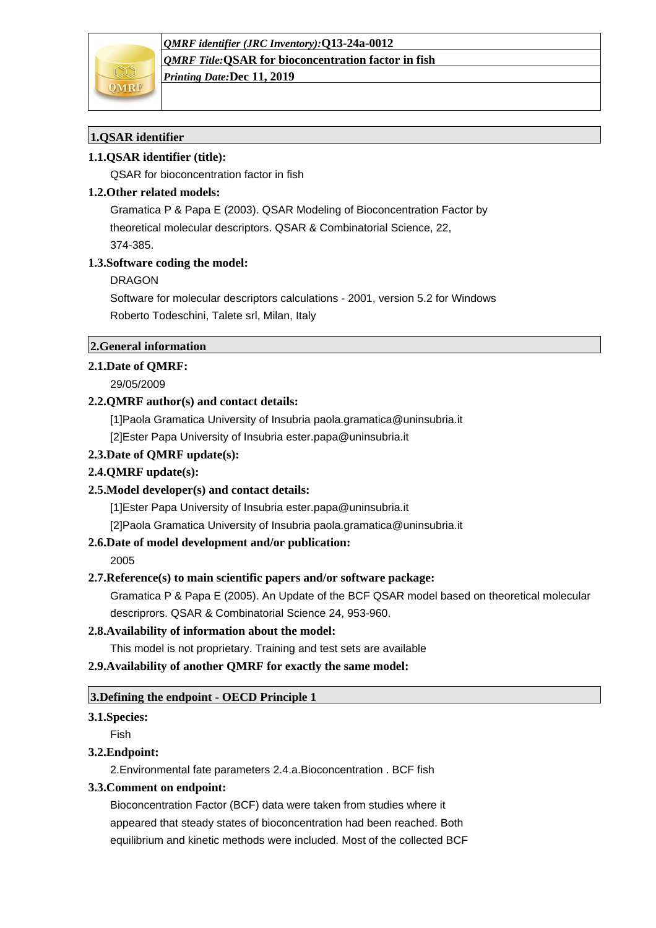*QMRF Title:***QSAR for bioconcentration factor in fish**



*Printing Date:***Dec 11, 2019**

# **1.QSAR identifier**

# **1.1.QSAR identifier (title):**

QSAR for bioconcentration factor in fish

# **1.2.Other related models:**

Gramatica P & Papa E (2003). QSAR Modeling of Bioconcentration Factor by theoretical molecular descriptors. QSAR & Combinatorial Science, 22, 374-385.

## **1.3.Software coding the model:**

## DRAGON

Software for molecular descriptors calculations - 2001, version 5.2 for Windows Roberto Todeschini, Talete srl, Milan, Italy

## **2.General information**

# **2.1.Date of QMRF:**

29/05/2009

# **2.2.QMRF author(s) and contact details:**

[1]Paola Gramatica University of Insubria paola.gramatica@uninsubria.it

[2]Ester Papa University of Insubria ester.papa@uninsubria.it

## **2.3.Date of QMRF update(s):**

# **2.4.QMRF update(s):**

# **2.5.Model developer(s) and contact details:**

[1]Ester Papa University of Insubria ester.papa@uninsubria.it

[2]Paola Gramatica University of Insubria paola.gramatica@uninsubria.it

# **2.6.Date of model development and/or publication:**

### 2005

# **2.7.Reference(s) to main scientific papers and/or software package:**

Gramatica P & Papa E (2005). An Update of the BCF QSAR model based on theoretical molecular descriprors. QSAR & Combinatorial Science 24, 953-960.

# **2.8.Availability of information about the model:**

This model is not proprietary. Training and test sets are available

### **2.9.Availability of another QMRF for exactly the same model:**

# **3.Defining the endpoint - OECD Principle 1**

### **3.1.Species:**

Fish

# **3.2.Endpoint:**

2.Environmental fate parameters 2.4.a.Bioconcentration . BCF fish

# **3.3.Comment on endpoint:**

Bioconcentration Factor (BCF) data were taken from studies where it appeared that steady states of bioconcentration had been reached. Both equilibrium and kinetic methods were included. Most of the collected BCF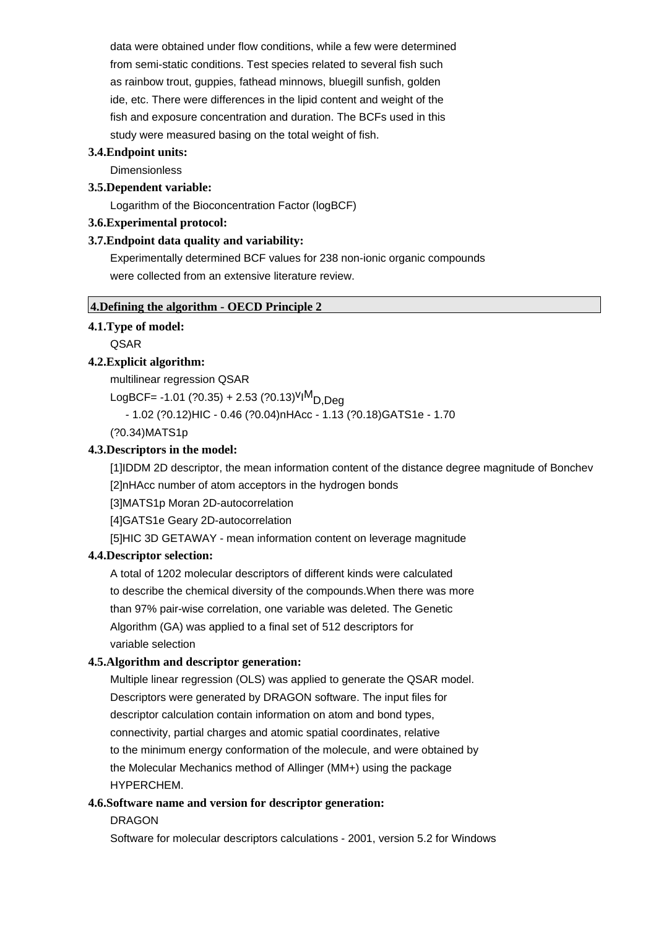data were obtained under flow conditions, while a few were determined from semi-static conditions. Test species related to several fish such as rainbow trout, guppies, fathead minnows, bluegill sunfish, golden ide, etc. There were differences in the lipid content and weight of the fish and exposure concentration and duration. The BCFs used in this study were measured basing on the total weight of fish.

#### **3.4.Endpoint units:**

**Dimensionless** 

### **3.5.Dependent variable:**

Logarithm of the Bioconcentration Factor (logBCF)

### **3.6.Experimental protocol:**

# **3.7.Endpoint data quality and variability:**

Experimentally determined BCF values for 238 non-ionic organic compounds were collected from an extensive literature review.

### **4.Defining the algorithm - OECD Principle 2**

# **4.1.Type of model:**

**OSAR** 

## **4.2.Explicit algorithm:**

multilinear regression QSAR

LogBCF= -1.01 (?0.35) + 2.53 (?0.13)<sup>V</sup>I<sup>M</sup>D Deg

- 1.02 (?0.12)HIC - 0.46 (?0.04)nHAcc - 1.13 (?0.18)GATS1e - 1.70

(?0.34)MATS1p

## **4.3.Descriptors in the model:**

[1]IDDM 2D descriptor, the mean information content of the distance degree magnitude of Bonchev [2]nHAcc number of atom acceptors in the hydrogen bonds

[3]MATS1p Moran 2D-autocorrelation

[4]GATS1e Geary 2D-autocorrelation

[5]HIC 3D GETAWAY - mean information content on leverage magnitude

### **4.4.Descriptor selection:**

A total of 1202 molecular descriptors of different kinds were calculated to describe the chemical diversity of the compounds.When there was more than 97% pair-wise correlation, one variable was deleted. The Genetic Algorithm (GA) was applied to a final set of 512 descriptors for variable selection

### **4.5.Algorithm and descriptor generation:**

Multiple linear regression (OLS) was applied to generate the QSAR model. Descriptors were generated by DRAGON software. The input files for descriptor calculation contain information on atom and bond types, connectivity, partial charges and atomic spatial coordinates, relative to the minimum energy conformation of the molecule, and were obtained by the Molecular Mechanics method of Allinger (MM+) using the package HYPERCHEM.

# **4.6.Software name and version for descriptor generation:**

#### DRAGON

Software for molecular descriptors calculations - 2001, version 5.2 for Windows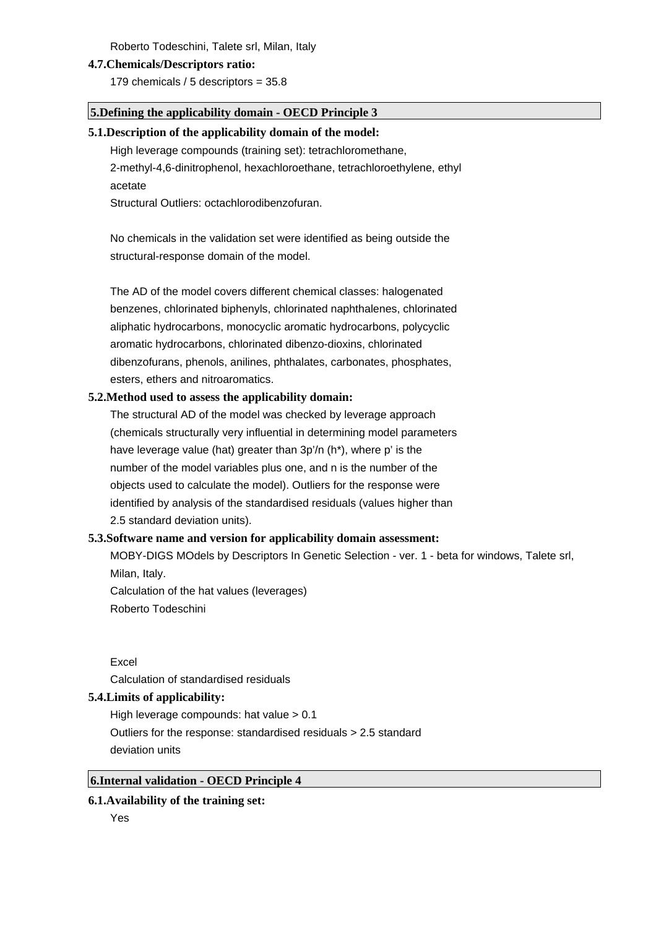Roberto Todeschini, Talete srl, Milan, Italy

#### **4.7.Chemicals/Descriptors ratio:**

179 chemicals / 5 descriptors = 35.8

### **5.Defining the applicability domain - OECD Principle 3**

### **5.1.Description of the applicability domain of the model:**

High leverage compounds (training set): tetrachloromethane, 2-methyl-4,6-dinitrophenol, hexachloroethane, tetrachloroethylene, ethyl acetate

Structural Outliers: octachlorodibenzofuran.

No chemicals in the validation set were identified as being outside the structural-response domain of the model.

The AD of the model covers different chemical classes: halogenated benzenes, chlorinated biphenyls, chlorinated naphthalenes, chlorinated aliphatic hydrocarbons, monocyclic aromatic hydrocarbons, polycyclic aromatic hydrocarbons, chlorinated dibenzo-dioxins, chlorinated dibenzofurans, phenols, anilines, phthalates, carbonates, phosphates, esters, ethers and nitroaromatics.

### **5.2.Method used to assess the applicability domain:**

The structural AD of the model was checked by leverage approach (chemicals structurally very influential in determining model parameters have leverage value (hat) greater than 3p'/n (h\*), where p' is the number of the model variables plus one, and n is the number of the objects used to calculate the model). Outliers for the response were identified by analysis of the standardised residuals (values higher than 2.5 standard deviation units).

### **5.3.Software name and version for applicability domain assessment:**

MOBY-DIGS MOdels by Descriptors In Genetic Selection - ver. 1 - beta for windows, Talete srl, Milan, Italy.

Calculation of the hat values (leverages)

Roberto Todeschini

Excel

Calculation of standardised residuals

### **5.4.Limits of applicability:**

High leverage compounds: hat value > 0.1 Outliers for the response: standardised residuals > 2.5 standard deviation units

# **6.Internal validation - OECD Principle 4**

# **6.1.Availability of the training set:**

Yes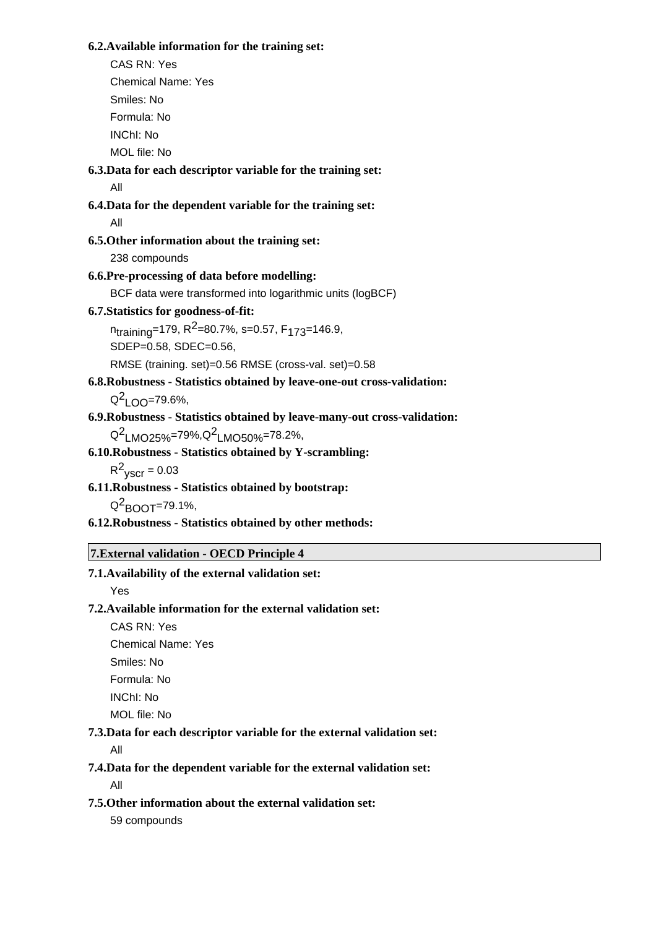### **6.2.Available information for the training set:**

CAS RN: Yes Chemical Name: Yes Smiles: No Formula: No INChI: No MOL file: No **6.3.Data for each descriptor variable for the training set:** All **6.4.Data for the dependent variable for the training set:** All **6.5.Other information about the training set:** 238 compounds **6.6.Pre-processing of data before modelling:** BCF data were transformed into logarithmic units (logBCF) **6.7.Statistics for goodness-of-fit:**  $n_{\text{training}}$ =179, R<sup>2</sup>=80.7%, s=0.57, F<sub>173</sub>=146.9, SDEP=0.58, SDEC=0.56, RMSE (training. set)=0.56 RMSE (cross-val. set)=0.58 **6.8.Robustness - Statistics obtained by leave-one-out cross-validation:** Q<sup>2</sup>LOO=79.6%, **6.9.Robustness - Statistics obtained by leave-many-out cross-validation:** Q<sup>2</sup>LMO25%=<sup>79%,Q2</sup>LMO50%<sup>=78.2%,</sup> **6.10.Robustness - Statistics obtained by Y-scrambling:**  $R^2$ <sub>yscr</sub> = 0.03 **6.11.Robustness - Statistics obtained by bootstrap:** Q<sup>2</sup>BOOT=79.1%, **6.12.Robustness - Statistics obtained by other methods: 7.1.Availability of the external validation set:** Yes **7.2.Available information for the external validation set:** CAS RN: Yes Chemical Name: Yes Smiles: No Formula: No INChI: No MOL file: No **7.3.Data for each descriptor variable for the external validation set:** All **7.4.Data for the dependent variable for the external validation set:** All **7.5.Other information about the external validation set: 7.External validation - OECD Principle 4**

59 compounds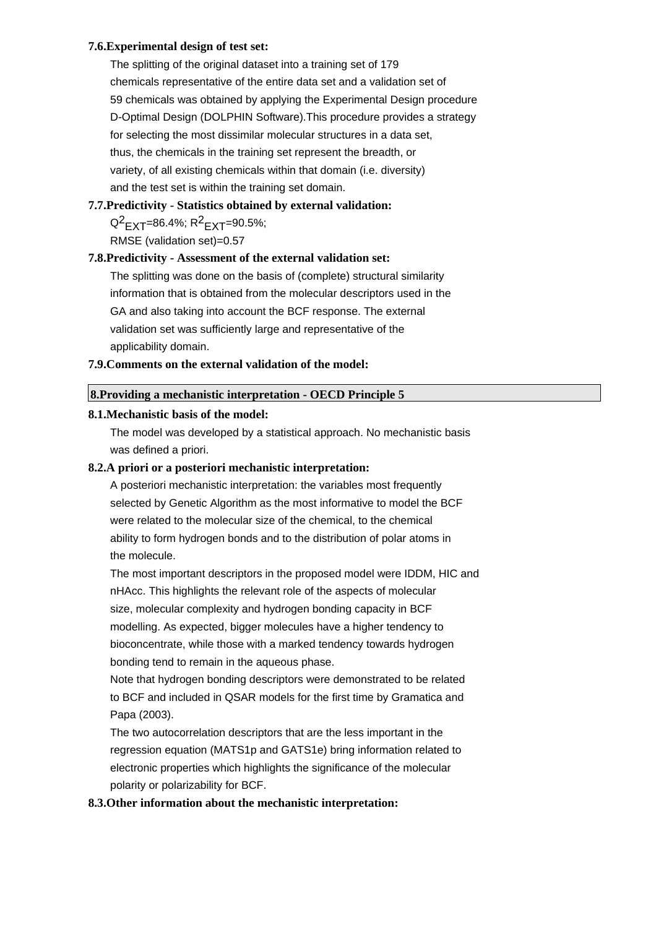### **7.6.Experimental design of test set:**

The splitting of the original dataset into a training set of 179 chemicals representative of the entire data set and a validation set of 59 chemicals was obtained by applying the Experimental Design procedure D-Optimal Design (DOLPHIN Software).This procedure provides a strategy for selecting the most dissimilar molecular structures in a data set, thus, the chemicals in the training set represent the breadth, or variety, of all existing chemicals within that domain (i.e. diversity) and the test set is within the training set domain.

# **7.7.Predictivity - Statistics obtained by external validation:**

Q<sup>2</sup>EXT=86.4%; R<sup>2</sup>EXT=90.5%;

RMSE (validation set)=0.57

## **7.8.Predictivity - Assessment of the external validation set:**

The splitting was done on the basis of (complete) structural similarity information that is obtained from the molecular descriptors used in the GA and also taking into account the BCF response. The external validation set was sufficiently large and representative of the applicability domain.

**7.9.Comments on the external validation of the model:**

## **8.Providing a mechanistic interpretation - OECD Principle 5**

## **8.1.Mechanistic basis of the model:**

The model was developed by a statistical approach. No mechanistic basis was defined a priori.

# **8.2.A priori or a posteriori mechanistic interpretation:**

A posteriori mechanistic interpretation: the variables most frequently selected by Genetic Algorithm as the most informative to model the BCF were related to the molecular size of the chemical, to the chemical ability to form hydrogen bonds and to the distribution of polar atoms in the molecule.

The most important descriptors in the proposed model were IDDM, HIC and nHAcc. This highlights the relevant role of the aspects of molecular size, molecular complexity and hydrogen bonding capacity in BCF modelling. As expected, bigger molecules have a higher tendency to bioconcentrate, while those with a marked tendency towards hydrogen bonding tend to remain in the aqueous phase.

Note that hydrogen bonding descriptors were demonstrated to be related to BCF and included in QSAR models for the first time by Gramatica and Papa (2003).

The two autocorrelation descriptors that are the less important in the regression equation (MATS1p and GATS1e) bring information related to electronic properties which highlights the significance of the molecular polarity or polarizability for BCF.

### **8.3.Other information about the mechanistic interpretation:**